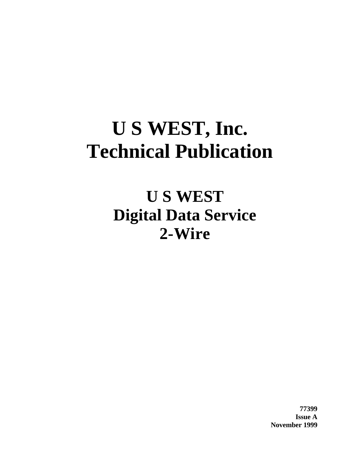# **U S WEST, Inc. Technical Publication**

**U S WEST Digital Data Service 2-Wire**

> **77399 Issue A November 1999**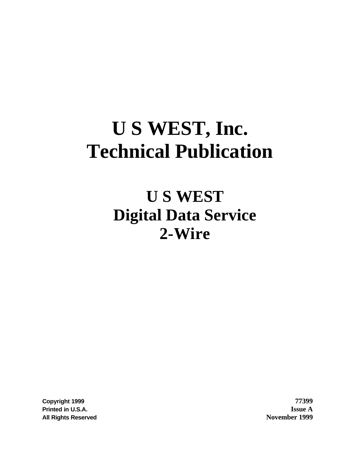# **U S WEST, Inc. Technical Publication**

# **U S WEST Digital Data Service 2-Wire**

**Copyright 1999 77399 Printed in U.S.A. Issue A All Rights Reserved November 1999**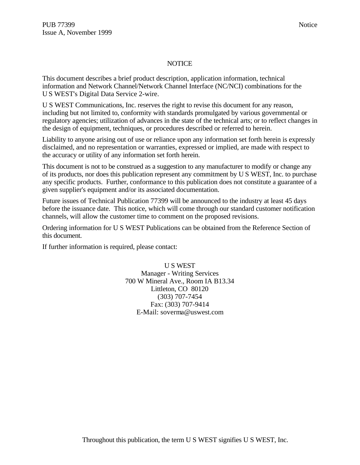#### NOTICE

This document describes a brief product description, application information, technical information and Network Channel/Network Channel Interface (NC/NCI) combinations for the U S WEST's Digital Data Service 2-wire.

U S WEST Communications, Inc. reserves the right to revise this document for any reason, including but not limited to, conformity with standards promulgated by various governmental or regulatory agencies; utilization of advances in the state of the technical arts; or to reflect changes in the design of equipment, techniques, or procedures described or referred to herein.

Liability to anyone arising out of use or reliance upon any information set forth herein is expressly disclaimed, and no representation or warranties, expressed or implied, are made with respect to the accuracy or utility of any information set forth herein.

This document is not to be construed as a suggestion to any manufacturer to modify or change any of its products, nor does this publication represent any commitment by U S WEST, Inc. to purchase any specific products. Further, conformance to this publication does not constitute a guarantee of a given supplier's equipment and/or its associated documentation.

Future issues of Technical Publication 77399 will be announced to the industry at least 45 days before the issuance date. This notice, which will come through our standard customer notification channels, will allow the customer time to comment on the proposed revisions.

Ordering information for U S WEST Publications can be obtained from the Reference Section of this document.

If further information is required, please contact:

U S WEST Manager - Writing Services 700 W Mineral Ave., Room IA B13.34 Littleton, CO 80120 (303) 707-7454 Fax: (303) 707-9414 E-Mail: soverma@uswest.com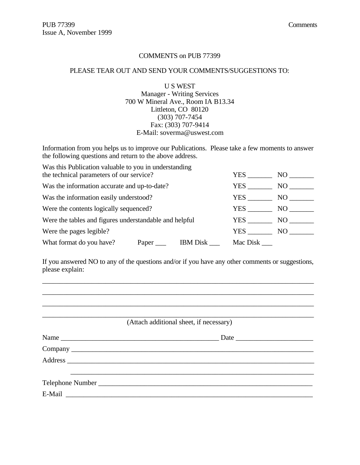#### COMMENTS on PUB 77399

#### PLEASE TEAR OUT AND SEND YOUR COMMENTS/SUGGESTIONS TO:

U S WEST Manager - Writing Services 700 W Mineral Ave., Room IA B13.34 Littleton, CO 80120 (303) 707-7454 Fax: (303) 707-9414 E-Mail: soverma@uswest.com

Information from you helps us to improve our Publications. Please take a few moments to answer the following questions and return to the above address.

| Was this Publication valuable to you in understanding<br>the technical parameters of our service? |       | YES             | NO.      |     |
|---------------------------------------------------------------------------------------------------|-------|-----------------|----------|-----|
|                                                                                                   |       |                 |          |     |
| Was the information accurate and up-to-date?                                                      | YES   | NO.             |          |     |
| Was the information easily understood?                                                            |       | YES             | NO.      |     |
| Were the contents logically sequenced?                                                            |       |                 | YES      | NO. |
| Were the tables and figures understandable and helpful                                            |       |                 | YES.     | NO. |
| Were the pages legible?                                                                           |       |                 | YES      | NO  |
| What format do you have?                                                                          | Paper | <b>IBM</b> Disk | Mac Disk |     |

If you answered NO to any of the questions and/or if you have any other comments or suggestions, please explain:

\_\_\_\_\_\_\_\_\_\_\_\_\_\_\_\_\_\_\_\_\_\_\_\_\_\_\_\_\_\_\_\_\_\_\_\_\_\_\_\_\_\_\_\_\_\_\_\_\_\_\_\_\_\_\_\_\_\_\_\_\_\_\_\_\_\_\_\_\_\_\_\_\_\_\_\_\_ \_\_\_\_\_\_\_\_\_\_\_\_\_\_\_\_\_\_\_\_\_\_\_\_\_\_\_\_\_\_\_\_\_\_\_\_\_\_\_\_\_\_\_\_\_\_\_\_\_\_\_\_\_\_\_\_\_\_\_\_\_\_\_\_\_\_\_\_\_\_\_\_\_\_\_\_\_

| (Attach additional sheet, if necessary) |
|-----------------------------------------|
|                                         |
|                                         |
|                                         |
|                                         |
|                                         |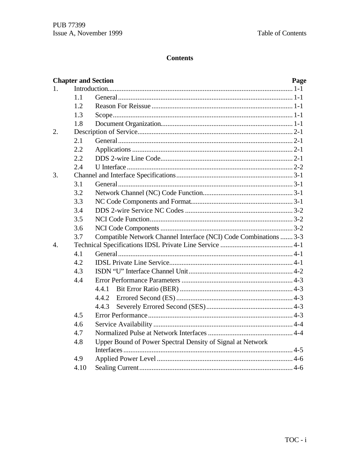# **Contents**

|                |      | <b>Chapter and Section</b>                                        | Page |
|----------------|------|-------------------------------------------------------------------|------|
| $1_{-}$        |      |                                                                   |      |
|                | 1.1  |                                                                   |      |
|                | 1.2  |                                                                   |      |
|                | 1.3  |                                                                   |      |
|                | 1.8  |                                                                   |      |
| 2.             |      |                                                                   |      |
|                | 2.1  |                                                                   |      |
|                | 2.2  |                                                                   |      |
|                | 2.2  |                                                                   |      |
|                | 2.4  |                                                                   |      |
| 3.             |      |                                                                   |      |
|                | 3.1  |                                                                   |      |
|                | 3.2  |                                                                   |      |
|                | 3.3  |                                                                   |      |
|                | 3.4  |                                                                   |      |
|                | 3.5  |                                                                   |      |
|                | 3.6  |                                                                   |      |
|                | 3.7  | Compatible Network Channel Interface (NCI) Code Combinations  3-3 |      |
| $\mathbf{4}$ . |      |                                                                   |      |
|                | 4.1  |                                                                   |      |
|                | 4.2  |                                                                   |      |
|                | 4.3  |                                                                   |      |
|                | 4.4  |                                                                   |      |
|                |      |                                                                   |      |
|                |      | 4.4.2                                                             |      |
|                |      | 4.4.3                                                             |      |
|                | 4.5  |                                                                   |      |
|                | 4.6  |                                                                   |      |
|                | 4.7  |                                                                   |      |
|                | 4.8  | Upper Bound of Power Spectral Density of Signal at Network        |      |
|                |      |                                                                   |      |
|                | 4.9  |                                                                   |      |
|                | 4.10 |                                                                   |      |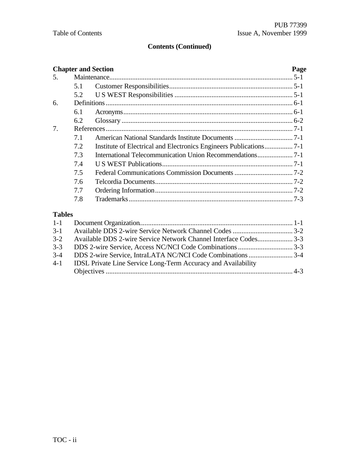# **Contents (Continued)**

|               |     | <b>Chapter and Section</b>                                      | Page |
|---------------|-----|-----------------------------------------------------------------|------|
| .5.           |     |                                                                 |      |
|               | 5.1 |                                                                 |      |
|               | 5.2 |                                                                 |      |
| 6.            |     |                                                                 |      |
|               | 6.1 |                                                                 |      |
|               | 6.2 |                                                                 |      |
| 7.            |     |                                                                 |      |
|               | 7.1 |                                                                 |      |
|               | 7.2 |                                                                 |      |
|               | 7.3 |                                                                 |      |
|               | 7.4 |                                                                 |      |
|               | 7.5 |                                                                 |      |
|               | 7.6 |                                                                 |      |
|               | 7.7 |                                                                 |      |
|               | 7.8 |                                                                 |      |
| <b>Tables</b> |     |                                                                 |      |
| $1 - 1$       |     |                                                                 |      |
| $3-1$         |     |                                                                 |      |
| $3 - 2$       |     | Available DDS 2-wire Service Network Channel Interface Codes3-3 |      |

| 3-2 • Available DDS 2-wire Service Network Channel Interface Codes       |  |
|--------------------------------------------------------------------------|--|
|                                                                          |  |
|                                                                          |  |
| 4-1 <b>IDSL Private Line Service Long-Term Accuracy and Availability</b> |  |
|                                                                          |  |
|                                                                          |  |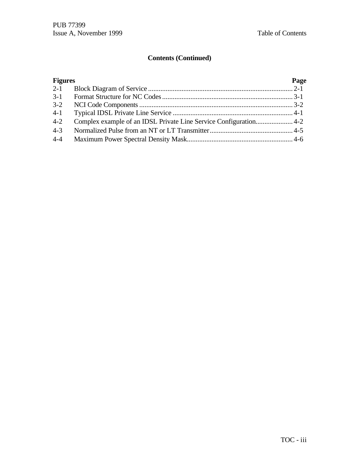# **Contents (Continued)**

| <b>Figures</b> | Page |
|----------------|------|
|                |      |
|                |      |
| $3 - 2$        |      |
| $4 - 1$        |      |
| $4 - 2$        |      |
| $4 - 3$        |      |
| $4 - 4$        |      |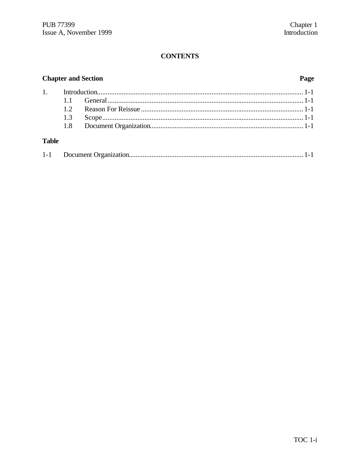# **CONTENTS**

# **Chapter and Section**

# Page

| 1.3 |  |
|-----|--|
|     |  |
|     |  |

# **Table**

| $1 - 1$ |  |  |  |
|---------|--|--|--|
|---------|--|--|--|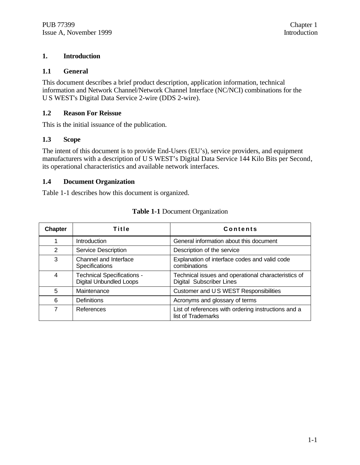#### **1. Introduction**

#### **1.1 General**

This document describes a brief product description, application information, technical information and Network Channel/Network Channel Interface (NC/NCI) combinations for the U S WEST's Digital Data Service 2-wire (DDS 2-wire).

#### **1.2 Reason For Reissue**

This is the initial issuance of the publication.

#### **1.3 Scope**

The intent of this document is to provide End-Users (EU's), service providers, and equipment manufacturers with a description of U S WEST's Digital Data Service 144 Kilo Bits per Second, its operational characteristics and available network interfaces.

#### **1.4 Document Organization**

Table 1-1 describes how this document is organized.

| <b>Chapter</b> | <b>Title</b>                                                        | <b>Contents</b>                                                                        |
|----------------|---------------------------------------------------------------------|----------------------------------------------------------------------------------------|
| 1              | Introduction                                                        | General information about this document                                                |
| 2              | <b>Service Description</b>                                          | Description of the service                                                             |
| 3              | Channel and Interface<br>Specifications                             | Explanation of interface codes and valid code<br>combinations                          |
| 4              | <b>Technical Specifications -</b><br><b>Digital Unbundled Loops</b> | Technical issues and operational characteristics of<br><b>Digital Subscriber Lines</b> |
| 5              | Maintenance                                                         | Customer and US WEST Responsibilities                                                  |
| 6              | Definitions                                                         | Acronyms and glossary of terms                                                         |
| 7              | References                                                          | List of references with ordering instructions and a<br>list of Trademarks              |

#### **Table 1-1** Document Organization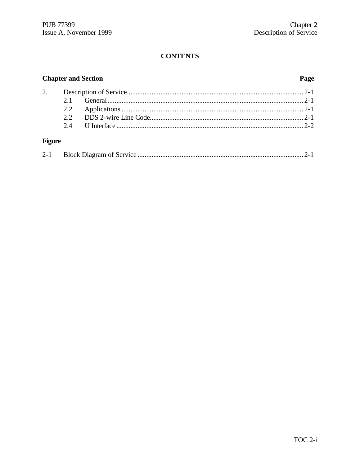# **CONTENTS**

# **Chapter and Section**

# Page

# **Figure**

|--|--|--|--|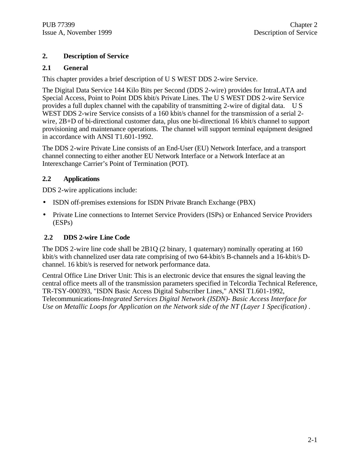### **2. Description of Service**

#### **2.1 General**

This chapter provides a brief description of U S WEST DDS 2-wire Service.

The Digital Data Service 144 Kilo Bits per Second (DDS 2-wire) provides for IntraLATA and Special Access, Point to Point DDS kbit/s Private Lines. The U S WEST DDS 2-wire Service provides a full duplex channel with the capability of transmitting 2-wire of digital data.U S WEST DDS 2-wire Service consists of a 160 kbit/s channel for the transmission of a serial 2wire, 2B+D of bi-directional customer data, plus one bi-directional 16 kbit/s channel to support provisioning and maintenance operations. The channel will support terminal equipment designed in accordance with ANSI T1.601-1992.

The DDS 2-wire Private Line consists of an End-User (EU) Network Interface, and a transport channel connecting to either another EU Network Interface or a Network Interface at an Interexchange Carrier's Point of Termination (POT).

#### **2.2 Applications**

DDS 2-wire applications include:

- ISDN off-premises extensions for ISDN Private Branch Exchange (PBX)
- Private Line connections to Internet Service Providers (ISPs) or Enhanced Service Providers (ESPs)

### **2.2 DDS 2-wire Line Code**

The DDS 2-wire line code shall be 2B1Q (2 binary, 1 quaternary) nominally operating at 160 kbit/s with channelized user data rate comprising of two 64-kbit/s B-channels and a 16-kbit/s Dchannel. 16 kbit/s is reserved for network performance data.

Central Office Line Driver Unit: This is an electronic device that ensures the signal leaving the central office meets all of the transmission parameters specified in Telcordia Technical Reference, TR-TSY-000393, "ISDN Basic Access Digital Subscriber Lines," ANSI T1.601-1992, Telecommunications-*Integrated Services Digital Network (ISDN)- Basic Access Interface for Use on Metallic Loops for Application on the Network side of the NT (Layer 1 Specification)* .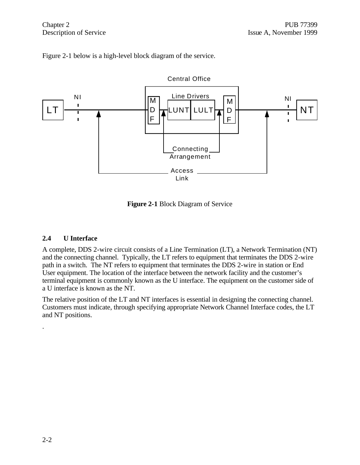



**Figure 2-1** Block Diagram of Service

#### **2.4 U Interface**

A complete, DDS 2-wire circuit consists of a Line Termination (LT), a Network Termination (NT) and the connecting channel. Typically, the LT refers to equipment that terminates the DDS 2-wire path in a switch. The NT refers to equipment that terminates the DDS 2-wire in station or End User equipment. The location of the interface between the network facility and the customer's terminal equipment is commonly known as the U interface. The equipment on the customer side of a U interface is known as the NT.

The relative position of the LT and NT interfaces is essential in designing the connecting channel. Customers must indicate, through specifying appropriate Network Channel Interface codes, the LT and NT positions.

.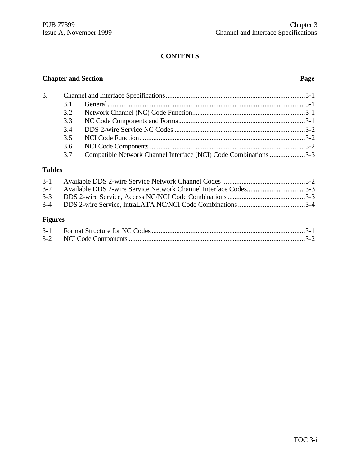# **CONTENTS**

# **Chapter and Section Page**

| 3. |     |                                                                  |  |
|----|-----|------------------------------------------------------------------|--|
|    | 31  |                                                                  |  |
|    |     |                                                                  |  |
|    |     |                                                                  |  |
|    |     |                                                                  |  |
|    |     |                                                                  |  |
|    |     |                                                                  |  |
|    | 3.7 | Compatible Network Channel Interface (NCI) Code Combinations 3-3 |  |

# **Tables**

| 3-2 Available DDS 2-wire Service Network Channel Interface Codes3-3 |  |
|---------------------------------------------------------------------|--|
|                                                                     |  |
|                                                                     |  |
|                                                                     |  |
|                                                                     |  |

### **Figures**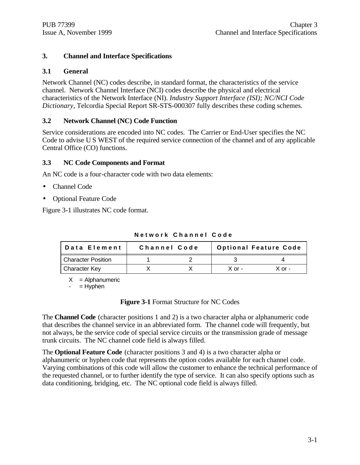#### **3. Channel and Interface Specifications**

#### **3.1 General**

Network Channel (NC) codes describe, in standard format, the characteristics of the service channel. Network Channel Interface (NCI) codes describe the physical and electrical characteristics of the Network Interface (NI). *Industry Support Interface (ISI); NC/NCI Code Dictionary*, Telcordia Special Report SR-STS-000307 fully describes these coding schemes.

#### **3.2 Network Channel (NC) Code Function**

Service considerations are encoded into NC codes. The Carrier or End-User specifies the NC Code to advise U S WEST of the required service connection of the channel and of any applicable Central Office (CO) functions.

#### **3.3 NC Code Components and Format**

An NC code is a four-character code with two data elements:

- Channel Code
- Optional Feature Code

Figure 3-1 illustrates NC code format.

| Data Element              | Channel Code |  | <b>Optional Feature Code</b> |          |
|---------------------------|--------------|--|------------------------------|----------|
| <b>Character Position</b> |              |  |                              |          |
| <b>Character Key</b>      |              |  | $X$ or $-$                   | $X$ or - |

**Network Channel Code**

 $X =$  Alphanumeric

 $=$  Hyphen

**Figure 3-1** Format Structure for NC Codes

The **Channel Code** (character positions 1 and 2) is a two character alpha or alphanumeric code that describes the channel service in an abbreviated form. The channel code will frequently, but not always, be the service code of special service circuits or the transmission grade of message trunk circuits. The NC channel code field is always filled.

The **Optional Feature Code** (character positions 3 and 4) is a two character alpha or alphanumeric or hyphen code that represents the option codes available for each channel code. Varying combinations of this code will allow the customer to enhance the technical performance of the requested channel, or to further identify the type of service. It can also specify options such as data conditioning, bridging, etc. The NC optional code field is always filled.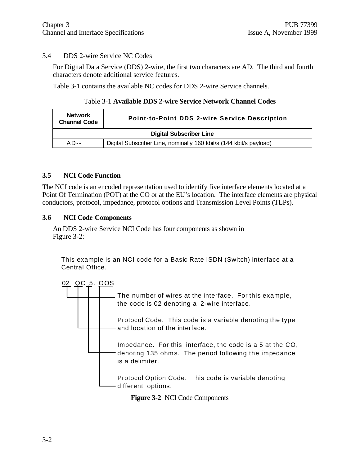#### 3.4 DDS 2-wire Service NC Codes

For Digital Data Service (DDS) 2-wire, the first two characters are AD. The third and fourth characters denote additional service features.

Table 3-1 contains the available NC codes for DDS 2-wire Service channels.

#### Table 3-1 **Available DDS 2-wire Service Network Channel Codes**

| <b>Network</b><br><b>Channel Code</b> | Point-to-Point DDS 2-wire Service Description                      |  |  |
|---------------------------------------|--------------------------------------------------------------------|--|--|
| <b>Digital Subscriber Line</b>        |                                                                    |  |  |
| $AD - -$                              | Digital Subscriber Line, nominally 160 kbit/s (144 kbit/s payload) |  |  |

#### **3.5 NCI Code Function**

The NCI code is an encoded representation used to identify five interface elements located at a Point Of Termination (POT) at the CO or at the EU's location. The interface elements are physical conductors, protocol, impedance, protocol options and Transmission Level Points (TLPs).

#### **3.6 NCI Code Components**

An DDS 2-wire Service NCI Code has four components as shown in Figure 3-2:

This example is an NCI code for a Basic Rate ISDN (Switch) interface at a Central Office.



**Figure 3-2** NCI Code Components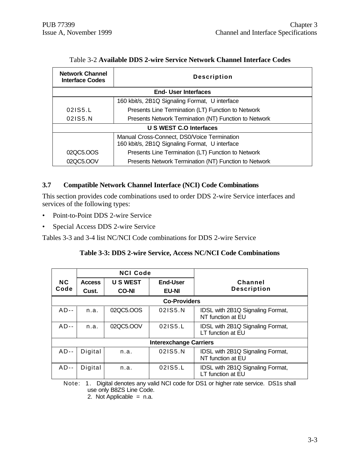| <b>Network Channel</b><br><b>Interface Codes</b> | <b>Description</b>                                                                            |  |  |  |
|--------------------------------------------------|-----------------------------------------------------------------------------------------------|--|--|--|
|                                                  | <b>End- User Interfaces</b>                                                                   |  |  |  |
|                                                  | 160 kbit/s, 2B1Q Signaling Format, U interface                                                |  |  |  |
| 021S5.L                                          | Presents Line Termination (LT) Function to Network                                            |  |  |  |
| 021S5.N                                          | Presents Network Termination (NT) Function to Network                                         |  |  |  |
| U S WEST C.O Interfaces                          |                                                                                               |  |  |  |
|                                                  | Manual Cross-Connect, DS0/Voice Termination<br>160 kbit/s, 2B1Q Signaling Format, U interface |  |  |  |
| 02QC5.OOS                                        | Presents Line Termination (LT) Function to Network                                            |  |  |  |
| 02QC5.OOV                                        | Presents Network Termination (NT) Function to Network                                         |  |  |  |

#### Table 3-2 **Available DDS 2-wire Service Network Channel Interface Codes**

#### **3.7 Compatible Network Channel Interface (NCI) Code Combinations**

This section provides code combinations used to order DDS 2-wire Service interfaces and services of the following types:

- Point-to-Point DDS 2-wire Service
- Special Access DDS 2-wire Service

Tables 3-3 and 3-4 list NC/NCI Code combinations for DDS 2-wire Service

#### **Table 3-3: DDS 2-wire Service, Access NC/NCI Code Combinations**

|                               |                     | <b>NCI Code</b> |                 |                                                       |  |  |
|-------------------------------|---------------------|-----------------|-----------------|-------------------------------------------------------|--|--|
| <b>NC</b>                     | <b>Access</b>       | <b>U S WEST</b> | <b>End-User</b> | Channel                                               |  |  |
| Code                          | Cust.               | <b>CO-NI</b>    | <b>EU-NI</b>    | <b>Description</b>                                    |  |  |
|                               | <b>Co-Providers</b> |                 |                 |                                                       |  |  |
| $AD -$                        | n.a.                | 02QC5.OOS       | 021S5.N         | IDSL with 2B1Q Signaling Format,<br>NT function at EU |  |  |
| $AD -$                        | n.a.                | 02QC5.OOV       | 021S5.L         | IDSL with 2B1Q Signaling Format,<br>LT function at EU |  |  |
| <b>Interexchange Carriers</b> |                     |                 |                 |                                                       |  |  |
| $AD--$                        | Digital             | n.a.            | 021S5.N         | IDSL with 2B1Q Signaling Format,<br>NT function at EU |  |  |
| $AD--$                        | Digital             | n.a.            | 021S5.L         | IDSL with 2B1Q Signaling Format,<br>LT function at EU |  |  |

Note: 1. Digital denotes any valid NCI code for DS1 or higher rate service. DS1s shall use only B8ZS Line Code.

2. Not Applicable  $=$  n.a.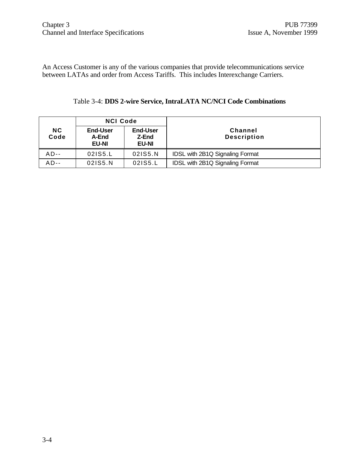An Access Customer is any of the various companies that provide telecommunications service between LATAs and order from Access Tariffs. This includes Interexchange Carriers.

|                   | <b>NCI Code</b>                   |                                          |                                      |  |
|-------------------|-----------------------------------|------------------------------------------|--------------------------------------|--|
| <b>NC</b><br>Code | End-User<br>A-End<br><b>EU-NI</b> | <b>End-User</b><br>Z-End<br><b>EU-NI</b> | <b>Channel</b><br><b>Description</b> |  |
| $AD--$            | 021S5.L                           | 021S5.N                                  | IDSL with 2B1Q Signaling Format      |  |
| $AD--$            | 021S5.N                           | 021S5.L                                  | IDSL with 2B1Q Signaling Format      |  |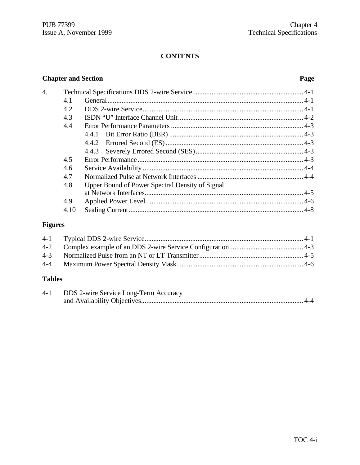#### **CONTENTS**

# **Chapter and Section Page** 4. Technical Specifications DDS 2-wire Service............................................................... 4-1 4.1 General............................................................................................................... 4-1 4.2 DDS 2-wire Service........................................................................................... 4-1 4.3 ISDN "U" Interface Channel Unit....................................................................... 4-2 4.4 Error Performance Parameters ........................................................................... 4-3 4.4.1 Bit Error Ratio (BER) ............................................................................ 4-3 4.4.2 Errored Second (ES).............................................................................. 4-3 4.4.3 Severely Errored Second (SES)............................................................. 4-3 4.5 Error Performance.............................................................................................. 4-3 4.6 Service Availability ........................................................................................... 4-4 4.7 Normalized Pulse at Network Interfaces............................................................ 4-4 4.8 Upper Bound of Power Spectral Density of Signal at Network Interfaces.......................................................................................... 4-5 4.9 Applied Power Level ......................................................................................... 4-6 4.10 Sealing Current................................................................................................... 4-8

#### **Figures**

#### **Tables**

| $4 - 1$ | <b>DDS</b> 2-wire Service Long-Term Accuracy |
|---------|----------------------------------------------|
|         |                                              |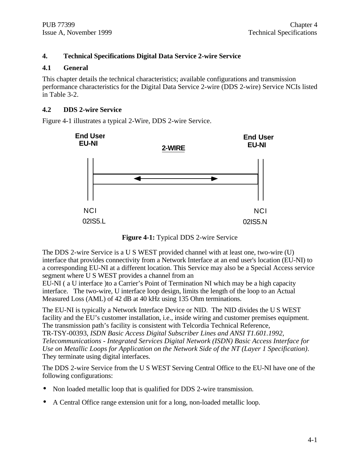#### **4. Technical Specifications Digital Data Service 2-wire Service**

#### **4.1 General**

This chapter details the technical characteristics; available configurations and transmission performance characteristics for the Digital Data Service 2-wire (DDS 2-wire) Service NCIs listed in Table 3-2.

#### **4.2 DDS 2-wire Service**

Figure 4-1 illustrates a typical 2-Wire, DDS 2-wire Service.



**Figure 4-1:** Typical DDS 2-wire Service

The DDS 2-wire Service is a U S WEST provided channel with at least one, two-wire (U) interface that provides connectivity from a Network Interface at an end user's location (EU-NI) to a corresponding EU-NI at a different location. This Service may also be a Special Access service segment where U S WEST provides a channel from an

EU-NI ( a U interface )to a Carrier's Point of Termination NI which may be a high capacity interface. The two-wire, U interface loop design, limits the length of the loop to an Actual Measured Loss (AML) of 42 dB at 40 kHz using 135 Ohm terminations.

The EU-NI is typically a Network Interface Device or NID. The NID divides the U S WEST facility and the EU's customer installation, i.e., inside wiring and customer premises equipment. The transmission path's facility is consistent with Telcordia Technical Reference,

TR-TSY-00393, *ISDN Basic Access Digital Subscriber Lines and ANSI T1.601.1992, Telecommunications - Integrated Services Digital Network (ISDN) Basic Access Interface for Use on Metallic Loops for Application on the Network Side of the NT (Layer 1 Specification)*. They terminate using digital interfaces.

The DDS 2-wire Service from the U S WEST Serving Central Office to the EU-NI have one of the following configurations:

- Non loaded metallic loop that is qualified for DDS 2-wire transmission.
- A Central Office range extension unit for a long, non-loaded metallic loop.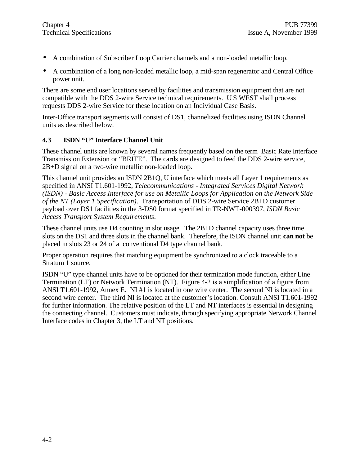- A combination of Subscriber Loop Carrier channels and a non-loaded metallic loop.
- A combination of a long non-loaded metallic loop, a mid-span regenerator and Central Office power unit.

There are some end user locations served by facilities and transmission equipment that are not compatible with the DDS 2-wire Service technical requirements. U S WEST shall process requests DDS 2-wire Service for these location on an Individual Case Basis.

Inter-Office transport segments will consist of DS1, channelized facilities using ISDN Channel units as described below.

#### **4.3 ISDN "U" Interface Channel Unit**

These channel units are known by several names frequently based on the term Basic Rate Interface Transmission Extension or "BRITE". The cards are designed to feed the DDS 2-wire service, 2B+D signal on a two-wire metallic non-loaded loop.

This channel unit provides an ISDN 2B1Q, U interface which meets all Layer 1 requirements as specified in ANSI T1.601-1992, *Telecommunications - Integrated Services Digital Network (ISDN) - Basic Access Interface for use on Metallic Loops for Application on the Network Side of the NT (Layer 1 Specification)*. Transportation of DDS 2-wire Service 2B+D customer payload over DS1 facilities in the 3-DS0 format specified in TR-NWT-000397, *ISDN Basic Access Transport System Requirements*.

These channel units use D4 counting in slot usage. The 2B+D channel capacity uses three time slots on the DS1 and three slots in the channel bank. Therefore, the ISDN channel unit **can not** be placed in slots 23 or 24 of a conventional D4 type channel bank.

Proper operation requires that matching equipment be synchronized to a clock traceable to a Stratum 1 source.

ISDN "U" type channel units have to be optioned for their termination mode function, either Line Termination (LT) or Network Termination (NT). Figure 4-2 is a simplification of a figure from ANSI T1.601-1992, Annex E. NI #1 is located in one wire center. The second NI is located in a second wire center. The third NI is located at the customer's location. Consult ANSI T1.601-1992 for further information. The relative position of the LT and NT interfaces is essential in designing the connecting channel. Customers must indicate, through specifying appropriate Network Channel Interface codes in Chapter 3, the LT and NT positions.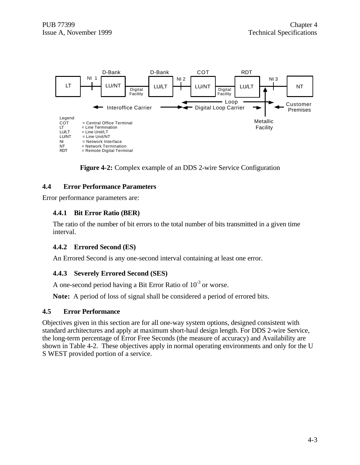

**Figure 4-2:** Complex example of an DDS 2-wire Service Configuration

#### **4.4 Error Performance Parameters**

Error performance parameters are:

#### **4.4.1 Bit Error Ratio (BER)**

The ratio of the number of bit errors to the total number of bits transmitted in a given time interval.

#### **4.4.2 Errored Second (ES)**

An Errored Second is any one-second interval containing at least one error.

### **4.4.3 Severely Errored Second (SES)**

A one-second period having a Bit Error Ratio of  $10^{-3}$  or worse.

**Note:** A period of loss of signal shall be considered a period of errored bits.

#### **4.5 Error Performance**

Objectives given in this section are for all one-way system options, designed consistent with standard architectures and apply at maximum short-haul design length. For DDS 2-wire Service, the long-term percentage of Error Free Seconds (the measure of accuracy) and Availability are shown in Table 4-2. These objectives apply in normal operating environments and only for the U S WEST provided portion of a service.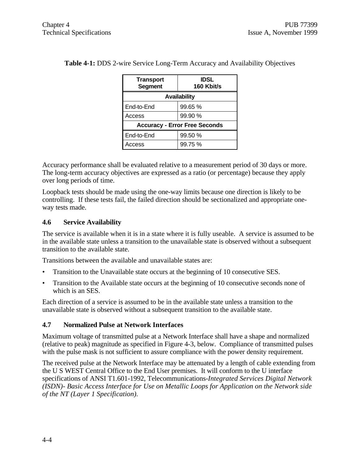| <b>Transport</b><br><b>Segment</b>   | <b>IDSL</b><br>160 Kbit/s |  |  |
|--------------------------------------|---------------------------|--|--|
| <b>Availability</b>                  |                           |  |  |
| End-to-End                           | 99.65 %                   |  |  |
| Access                               | 99.90 %                   |  |  |
| <b>Accuracy - Error Free Seconds</b> |                           |  |  |
| End-to-End                           | 99.50 %                   |  |  |
| Access                               | 99.75 %                   |  |  |

**Table 4-1:** DDS 2-wire Service Long-Term Accuracy and Availability Objectives

Accuracy performance shall be evaluated relative to a measurement period of 30 days or more. The long-term accuracy objectives are expressed as a ratio (or percentage) because they apply over long periods of time.

Loopback tests should be made using the one-way limits because one direction is likely to be controlling. If these tests fail, the failed direction should be sectionalized and appropriate oneway tests made.

#### **4.6 Service Availability**

The service is available when it is in a state where it is fully useable. A service is assumed to be in the available state unless a transition to the unavailable state is observed without a subsequent transition to the available state.

Transitions between the available and unavailable states are:

- Transition to the Unavailable state occurs at the beginning of 10 consecutive SES.
- Transition to the Available state occurs at the beginning of 10 consecutive seconds none of which is an SES.

Each direction of a service is assumed to be in the available state unless a transition to the unavailable state is observed without a subsequent transition to the available state.

#### **4.7 Normalized Pulse at Network Interfaces**

Maximum voltage of transmitted pulse at a Network Interface shall have a shape and normalized (relative to peak) magnitude as specified in Figure 4-3, below. Compliance of transmitted pulses with the pulse mask is not sufficient to assure compliance with the power density requirement.

The received pulse at the Network Interface may be attenuated by a length of cable extending from the U S WEST Central Office to the End User premises. It will conform to the U interface specifications of ANSI T1.601-1992, Telecommunications-*Integrated Services Digital Network (ISDN)- Basic Access Interface for Use on Metallic Loops for Application on the Network side of the NT (Layer 1 Specification).*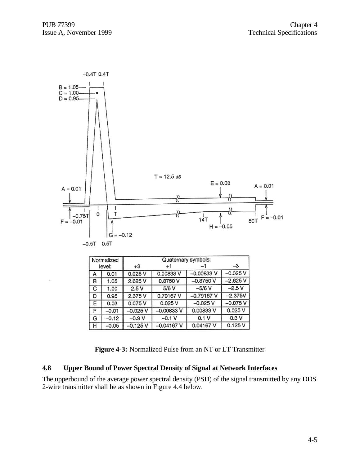

**Figure 4-3:** Normalized Pulse from an NT or LT Transmitter

0.1 V  $0.04167V$ 

 $-0.1V$ 

 $-0.04167V$ 

 $0.3V$ 

 $0.125V$ 

#### **4.8 Upper Bound of Power Spectral Density of Signal at Network Interfaces**

G

н

 $-0.12$ 

 $-0.05$ 

 $-0.3V$ 

 $-0.125V$ 

The upperbound of the average power spectral density (PSD) of the signal transmitted by any DDS 2-wire transmitter shall be as shown in Figure 4.4 below.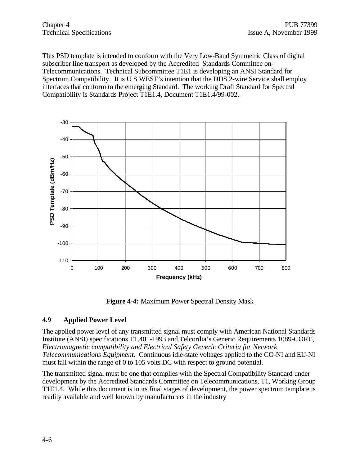This PSD template is intended to conform with the Very Low-Band Symmetric Class of digital subscriber line transport as developed by the Accredited Standards Committee on-Telecommunications. Technical Subcommittee T1E1 is developing an ANSI Standard for Spectrum Compatibility. It is U S WEST's intention that the DDS 2-wire Service shall employ interfaces that conform to the emerging Standard. The working Draft Standard for Spectral Compatibility is Standards Project T1E1.4, Document T1E1.4/99-002.



**Figure 4-4:** Maximum Power Spectral Density Mask

#### **4.9 Applied Power Level**

The applied power level of any transmitted signal must comply with American National Standards Institute (ANSI) specifications T1.401-1993 and Telcordia's Generic Requirements 1089-CORE, *Electromagnetic compatibility and Electrical Safety Generic Criteria for Network Telecommunications Equipment*. Continuous idle-state voltages applied to the CO-NI and EU-NI must fall within the range of 0 to 105 volts DC with respect to ground potential.

The transmitted signal must be one that complies with the Spectral Compatibility Standard under development by the Accredited Standards Committee on Telecommunications, T1, Working Group T1E1.4. While this document is in its final stages of development, the power spectrum template is readily available and well known by manufacturers in the industry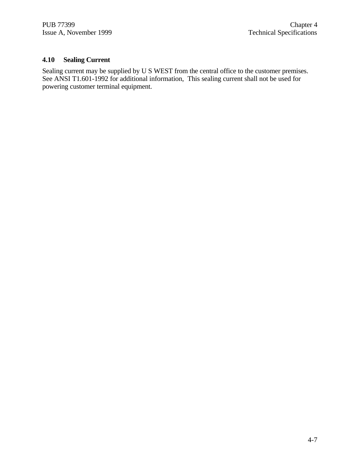### **4.10 Sealing Current**

Sealing current may be supplied by U S WEST from the central office to the customer premises. See ANSI T1.601-1992 for additional information, This sealing current shall not be used for powering customer terminal equipment.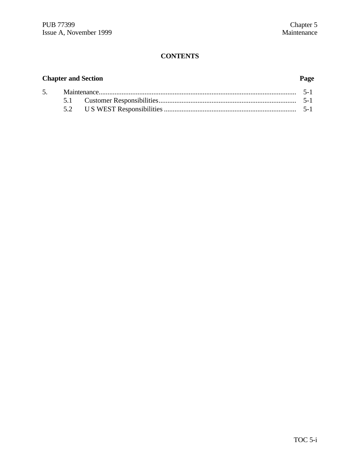# **CONTENTS**

# **Chapter and Section Page**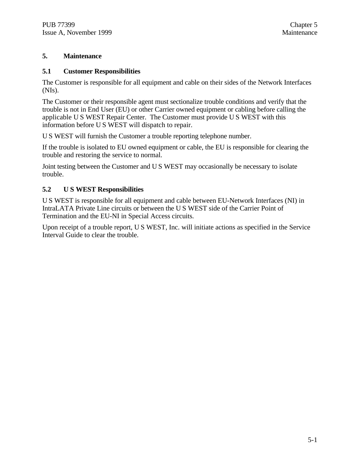#### **5. Maintenance**

#### **5.1 Customer Responsibilities**

The Customer is responsible for all equipment and cable on their sides of the Network Interfaces (NIs).

The Customer or their responsible agent must sectionalize trouble conditions and verify that the trouble is not in End User (EU) or other Carrier owned equipment or cabling before calling the applicable U S WEST Repair Center. The Customer must provide U S WEST with this information before U S WEST will dispatch to repair.

U S WEST will furnish the Customer a trouble reporting telephone number.

If the trouble is isolated to EU owned equipment or cable, the EU is responsible for clearing the trouble and restoring the service to normal.

Joint testing between the Customer and U S WEST may occasionally be necessary to isolate trouble.

#### **5.2 U S WEST Responsibilities**

U S WEST is responsible for all equipment and cable between EU-Network Interfaces (NI) in IntraLATA Private Line circuits or between the U S WEST side of the Carrier Point of Termination and the EU-NI in Special Access circuits.

Upon receipt of a trouble report, U S WEST, Inc. will initiate actions as specified in the Service Interval Guide to clear the trouble.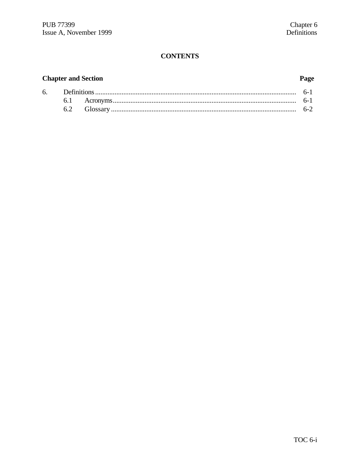# **CONTENTS**

# **Chapter and Section**

# Page

|  |  | $h - 7$ |
|--|--|---------|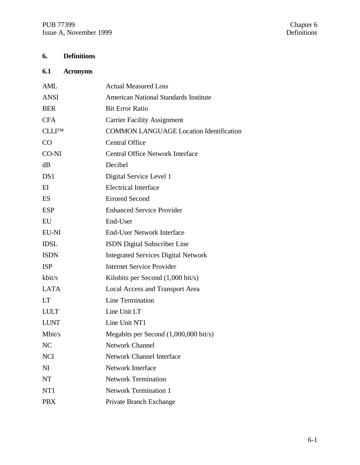# **6. Definitions**

# **6.1 Acronyms**

| <b>AML</b>     | <b>Actual Measured Loss</b>                     |
|----------------|-------------------------------------------------|
| <b>ANSI</b>    | <b>American National Standards Institute</b>    |
| <b>BER</b>     | <b>Bit Error Ratio</b>                          |
| <b>CFA</b>     | <b>Carrier Facility Assignment</b>              |
| <b>CLLITM</b>  | <b>COMMON LANGUAGE Location Identification</b>  |
| CO             | <b>Central Office</b>                           |
| CO-NI          | <b>Central Office Network Interface</b>         |
| dB             | Decibel                                         |
| DS1            | Digital Service Level 1                         |
| $E$ I          | <b>Electrical Interface</b>                     |
| ES             | <b>Errored Second</b>                           |
| <b>ESP</b>     | <b>Enhanced Service Provider</b>                |
| EU             | End-User                                        |
| EU-NI          | <b>End-User Network Interface</b>               |
| <b>IDSL</b>    | <b>ISDN</b> Digital Subscriber Line             |
| <b>ISDN</b>    | <b>Integrated Services Digital Network</b>      |
| <b>ISP</b>     | <b>Internet Service Provider</b>                |
| kbit/s         | Kilobits per Second $(1,000 \text{ bit/s})$     |
| <b>LATA</b>    | <b>Local Access and Transport Area</b>          |
| <b>LT</b>      | Line Termination                                |
| <b>LULT</b>    | Line Unit LT                                    |
| <b>LUNT</b>    | Line Unit NT1                                   |
| Mbit/s         | Megabits per Second $(1,000,000 \text{ bit/s})$ |
| NC             | <b>Network Channel</b>                          |
| <b>NCI</b>     | <b>Network Channel Interface</b>                |
| N <sub>I</sub> | Network Interface                               |
| <b>NT</b>      | <b>Network Termination</b>                      |
| NT1            | <b>Network Termination 1</b>                    |
| <b>PBX</b>     | Private Branch Exchange                         |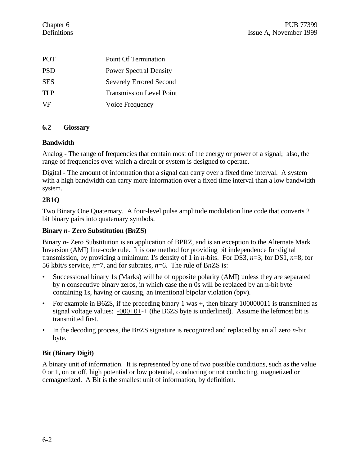| <b>POT</b> | Point Of Termination            |
|------------|---------------------------------|
| <b>PSD</b> | <b>Power Spectral Density</b>   |
| <b>SES</b> | <b>Severely Errored Second</b>  |
| TI P       | <b>Transmission Level Point</b> |
| VF         | Voice Frequency                 |

#### **6.2 Glossary**

#### **Bandwidth**

Analog - The range of frequencies that contain most of the energy or power of a signal; also, the range of frequencies over which a circuit or system is designed to operate.

Digital - The amount of information that a signal can carry over a fixed time interval. A system with a high bandwidth can carry more information over a fixed time interval than a low bandwidth system.

#### **2B1Q**

Two Binary One Quaternary. A four-level pulse amplitude modulation line code that converts 2 bit binary pairs into quaternary symbols.

#### **Binary** *n-* **Zero Substitution (B***n***ZS)**

Binary *n-* Zero Substitution is an application of BPRZ, and is an exception to the Alternate Mark Inversion (AMI) line-code rule. It is one method for providing bit independence for digital transmission, by providing a minimum 1's density of 1 in *n*-bits. For DS3, *n*=3; for DS1, *n*=8; for 56 kbit/s service, *n*=7, and for subrates, *n*=6. The rule of B*n*ZS is:

- Successional binary 1s (Marks) will be of opposite polarity (AMI) unless they are separated by n consecutive binary zeros, in which case the n 0s will be replaced by an n-bit byte containing 1s, having or causing, an intentional bipolar violation (bpv).
- For example in B6ZS, if the preceding binary 1 was +, then binary 100000011 is transmitted as signal voltage values:  $-000+0++$  (the B6ZS byte is underlined). Assume the leftmost bit is transmitted first.
- In the decoding process, the B*n*ZS signature is recognized and replaced by an all zero *n*-bit byte.

### **Bit (Binary Digit)**

A binary unit of information. It is represented by one of two possible conditions, such as the value 0 or 1, on or off, high potential or low potential, conducting or not conducting, magnetized or demagnetized. A Bit is the smallest unit of information, by definition.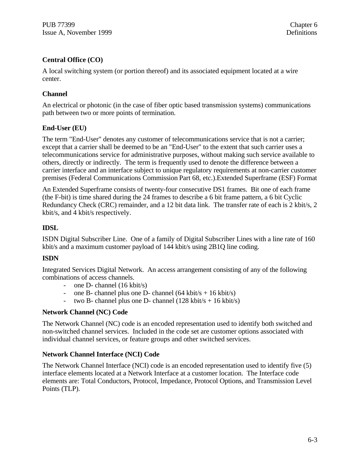### **Central Office (CO)**

A local switching system (or portion thereof) and its associated equipment located at a wire center.

#### **Channel**

An electrical or photonic (in the case of fiber optic based transmission systems) communications path between two or more points of termination.

#### **End-User (EU)**

The term "End-User" denotes any customer of telecommunications service that is not a carrier; except that a carrier shall be deemed to be an "End-User" to the extent that such carrier uses a telecommunications service for administrative purposes, without making such service available to others, directly or indirectly. The term is frequently used to denote the difference between a carrier interface and an interface subject to unique regulatory requirements at non-carrier customer premises (Federal Communications Commission Part 68, etc.).Extended Superframe (ESF) Format

An Extended Superframe consists of twenty-four consecutive DS1 frames. Bit one of each frame (the F-bit) is time shared during the 24 frames to describe a 6 bit frame pattern, a 6 bit Cyclic Redundancy Check (CRC) remainder, and a 12 bit data link. The transfer rate of each is 2 kbit/s, 2 kbit/s, and 4 kbit/s respectively.

#### **IDSL**

ISDN Digital Subscriber Line. One of a family of Digital Subscriber Lines with a line rate of 160 kbit/s and a maximum customer payload of 144 kbit/s using 2B1Q line coding.

#### **ISDN**

Integrated Services Digital Network. An access arrangement consisting of any of the following combinations of access channels.

- one D- channel (16 kbit/s)
- one B- channel plus one D- channel  $(64 \text{ kbit/s} + 16 \text{ kbit/s})$
- two B- channel plus one D- channel  $(128 \text{ kbit/s} + 16 \text{ kbit/s})$

#### **Network Channel (NC) Code**

The Network Channel (NC) code is an encoded representation used to identify both switched and non-switched channel services. Included in the code set are customer options associated with individual channel services, or feature groups and other switched services.

#### **Network Channel Interface (NCI) Code**

The Network Channel Interface (NCI) code is an encoded representation used to identify five (5) interface elements located at a Network Interface at a customer location. The Interface code elements are: Total Conductors, Protocol, Impedance, Protocol Options, and Transmission Level Points (TLP).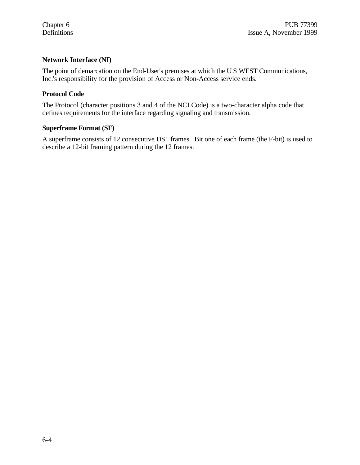#### **Network Interface (NI)**

The point of demarcation on the End-User's premises at which the U S WEST Communications, Inc.'s responsibility for the provision of Access or Non-Access service ends.

#### **Protocol Code**

The Protocol (character positions 3 and 4 of the NCI Code) is a two-character alpha code that defines requirements for the interface regarding signaling and transmission.

#### **Superframe Format (SF)**

A superframe consists of 12 consecutive DS1 frames. Bit one of each frame (the F-bit) is used to describe a 12-bit framing pattern during the 12 frames.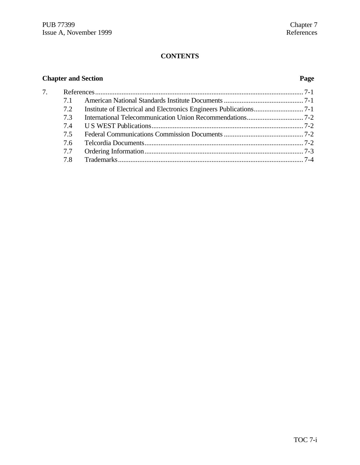# **CONTENTS**

# **Chapter and Section Page**

| 7. |     |  |  |
|----|-----|--|--|
|    | 7.1 |  |  |
|    | 7.2 |  |  |
|    | 7.3 |  |  |
|    |     |  |  |
|    | 7.5 |  |  |
|    | 7.6 |  |  |
|    | 7.7 |  |  |
|    | 7.8 |  |  |
|    |     |  |  |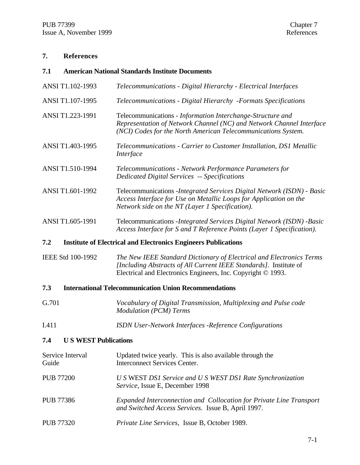# **7. References**

| 7.1              |                             | <b>American National Standards Institute Documents</b>                                                                                                                                                    |
|------------------|-----------------------------|-----------------------------------------------------------------------------------------------------------------------------------------------------------------------------------------------------------|
|                  | ANSI T1.102-1993            | Telecommunications - Digital Hierarchy - Electrical Interfaces                                                                                                                                            |
|                  | ANSI T1.107-1995            | Telecommunications - Digital Hierarchy - Formats Specifications                                                                                                                                           |
|                  | ANSI T1.223-1991            | Telecommunications - Information Interchange-Structure and<br>Representation of Network Channel (NC) and Network Channel Interface<br>(NCI) Codes for the North American Telecommunications System.       |
|                  | ANSI T1.403-1995            | Telecommunications - Carrier to Customer Installation, DS1 Metallic<br>Interface                                                                                                                          |
|                  | ANSI T1.510-1994            | Telecommunications - Network Performance Parameters for<br><b>Dedicated Digital Services -- Specifications</b>                                                                                            |
|                  | ANSI T1.601-1992            | Telecommunications - Integrated Services Digital Network (ISDN) - Basic<br>Access Interface for Use on Metallic Loops for Application on the<br>Network side on the NT (Layer 1 Specification).           |
|                  | ANSI T1.605-1991            | Telecommunications - Integrated Services Digital Network (ISDN) - Basic<br>Access Interface for S and T Reference Points (Layer 1 Specification).                                                         |
| 7.2              |                             | <b>Institute of Electrical and Electronics Engineers Publications</b>                                                                                                                                     |
|                  | IEEE Std 100-1992           | The New IEEE Standard Dictionary of Electrical and Electronics Terms<br>[Including Abstracts of All Current IEEE Standards]. Institute of<br>Electrical and Electronics Engineers, Inc. Copyright © 1993. |
| 7.3              |                             | <b>International Telecommunication Union Recommendations</b>                                                                                                                                              |
| G.701            |                             | Vocabulary of Digital Transmission, Multiplexing and Pulse code<br><b>Modulation (PCM) Terms</b>                                                                                                          |
| I.411            |                             | <b>ISDN User-Network Interfaces -Reference Configurations</b>                                                                                                                                             |
| 7.4              | <b>US WEST Publications</b> |                                                                                                                                                                                                           |
| Guide            | Service Interval            | Updated twice yearly. This is also available through the<br><b>Interconnect Services Center.</b>                                                                                                          |
| <b>PUB 77200</b> |                             | U S WEST DS1 Service and U S WEST DS1 Rate Synchronization<br>Service, Issue E, December 1998                                                                                                             |
|                  |                             |                                                                                                                                                                                                           |

- PUB 77386 *Expanded Interconnection and Collocation for Private Line Transport and Switched Access Services.* Issue B, April 1997.
- PUB 77320 *Private Line Services,* Issue B, October 1989.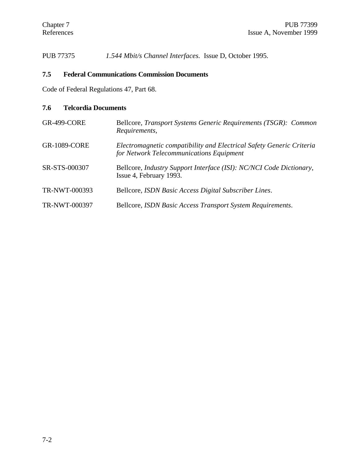PUB 77375 *1.544 Mbit/s Channel Interfaces.* Issue D, October 1995.

# **7.5 Federal Communications Commission Documents**

Code of Federal Regulations 47, Part 68.

# **7.6 Telcordia Documents**

| <b>GR-499-CORE</b>  | Bellcore, Transport Systems Generic Requirements (TSGR): Common<br>Requirements,                                 |
|---------------------|------------------------------------------------------------------------------------------------------------------|
| <b>GR-1089-CORE</b> | Electromagnetic compatibility and Electrical Safety Generic Criteria<br>for Network Telecommunications Equipment |
| SR-STS-000307       | Bellcore, Industry Support Interface (ISI): NC/NCI Code Dictionary,<br>Issue 4, February 1993.                   |
| TR-NWT-000393       | Bellcore, ISDN Basic Access Digital Subscriber Lines.                                                            |
| TR-NWT-000397       | Bellcore, ISDN Basic Access Transport System Requirements.                                                       |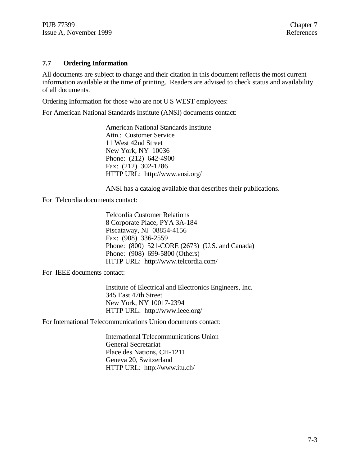#### **7.7 Ordering Information**

All documents are subject to change and their citation in this document reflects the most current information available at the time of printing. Readers are advised to check status and availability of all documents.

Ordering Information for those who are not U S WEST employees:

For American National Standards Institute (ANSI) documents contact:

American National Standards Institute Attn.: Customer Service 11 West 42nd Street New York, NY 10036 Phone: (212) 642-4900 Fax: (212) 302-1286 HTTP URL: http://www.ansi.org/

ANSI has a catalog available that describes their publications.

For Telcordia documents contact:

Telcordia Customer Relations 8 Corporate Place, PYA 3A-184 Piscataway, NJ 08854-4156 Fax: (908) 336-2559 Phone: (800) 521-CORE (2673) (U.S. and Canada) Phone: (908) 699-5800 (Others) HTTP URL: http://www.telcordia.com/

For IEEE documents contact:

Institute of Electrical and Electronics Engineers, Inc. 345 East 47th Street New York, NY 10017-2394 HTTP URL: http://www.ieee.org/

For International Telecommunications Union documents contact:

International Telecommunications Union General Secretariat Place des Nations, CH-1211 Geneva 20, Switzerland HTTP URL: http://www.itu.ch/